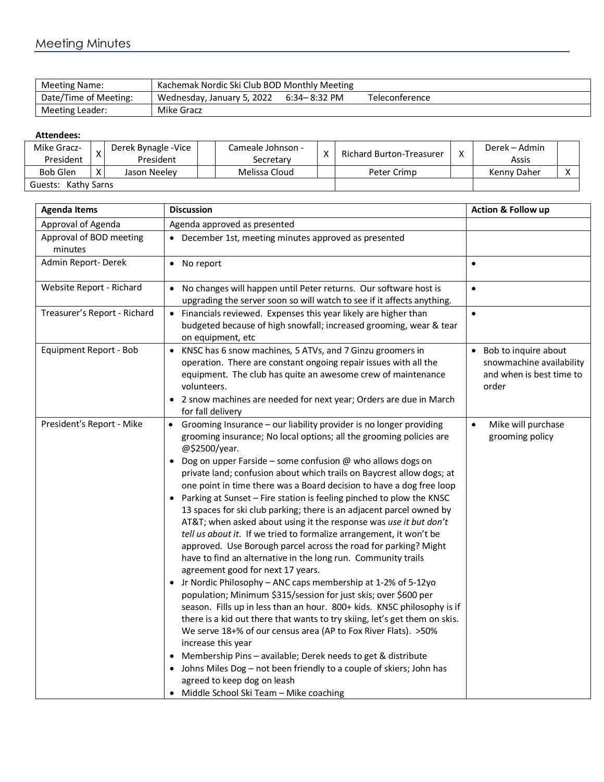## Meeting Minutes

| Meeting Name:         | Kachemak Nordic Ski Club BOD Monthly Meeting |                  |                |
|-----------------------|----------------------------------------------|------------------|----------------|
| Date/Time of Meeting: | Wednesday, January 5, 2022                   | $6:34 - 8:32$ PM | Teleconference |
| Meeting Leader:       | Mike Gracz                                   |                  |                |

## **Attendees:**

| Mike Gracz-            |              | Derek Bynagle -Vice |  | Cameale Johnson - | $\mathbf{v}$ | Richard Burton-Treasurer | v | Derek – Admin |  |
|------------------------|--------------|---------------------|--|-------------------|--------------|--------------------------|---|---------------|--|
| President              |              | President           |  | Secretarv         |              |                          |   | Assis         |  |
| <b>Bob Glen</b>        | $\mathbf{v}$ | Jason Neelev        |  | Melissa Cloud     |              | Peter Crimp              |   | Kenny Daher   |  |
| Kathy Sarns<br>Guests: |              |                     |  |                   |              |                          |   |               |  |

| <b>Agenda Items</b>                | <b>Discussion</b>                                                                                                                                                                                                                                                                                                                                                                                                                                                                                                                                                                                                                                                                                                                                                                                                                                                                                                                                                                                                                                                                                                                                                                                                                                                                                                                                                                                                                                                            | <b>Action &amp; Follow up</b>                                                           |
|------------------------------------|------------------------------------------------------------------------------------------------------------------------------------------------------------------------------------------------------------------------------------------------------------------------------------------------------------------------------------------------------------------------------------------------------------------------------------------------------------------------------------------------------------------------------------------------------------------------------------------------------------------------------------------------------------------------------------------------------------------------------------------------------------------------------------------------------------------------------------------------------------------------------------------------------------------------------------------------------------------------------------------------------------------------------------------------------------------------------------------------------------------------------------------------------------------------------------------------------------------------------------------------------------------------------------------------------------------------------------------------------------------------------------------------------------------------------------------------------------------------------|-----------------------------------------------------------------------------------------|
| Approval of Agenda                 | Agenda approved as presented                                                                                                                                                                                                                                                                                                                                                                                                                                                                                                                                                                                                                                                                                                                                                                                                                                                                                                                                                                                                                                                                                                                                                                                                                                                                                                                                                                                                                                                 |                                                                                         |
| Approval of BOD meeting<br>minutes | December 1st, meeting minutes approved as presented                                                                                                                                                                                                                                                                                                                                                                                                                                                                                                                                                                                                                                                                                                                                                                                                                                                                                                                                                                                                                                                                                                                                                                                                                                                                                                                                                                                                                          |                                                                                         |
| Admin Report-Derek                 | • No report                                                                                                                                                                                                                                                                                                                                                                                                                                                                                                                                                                                                                                                                                                                                                                                                                                                                                                                                                                                                                                                                                                                                                                                                                                                                                                                                                                                                                                                                  | $\bullet$                                                                               |
| Website Report - Richard           | No changes will happen until Peter returns. Our software host is<br>$\bullet$<br>upgrading the server soon so will watch to see if it affects anything.                                                                                                                                                                                                                                                                                                                                                                                                                                                                                                                                                                                                                                                                                                                                                                                                                                                                                                                                                                                                                                                                                                                                                                                                                                                                                                                      | $\bullet$                                                                               |
| Treasurer's Report - Richard       | • Financials reviewed. Expenses this year likely are higher than<br>budgeted because of high snowfall; increased grooming, wear & tear<br>on equipment, etc.                                                                                                                                                                                                                                                                                                                                                                                                                                                                                                                                                                                                                                                                                                                                                                                                                                                                                                                                                                                                                                                                                                                                                                                                                                                                                                                 | $\bullet$                                                                               |
| Equipment Report - Bob             | KNSC has 6 snow machines, 5 ATVs, and 7 Ginzu groomers in<br>$\bullet$<br>operation. There are constant ongoing repair issues with all the<br>equipment. The club has quite an awesome crew of maintenance<br>volunteers.<br>2 snow machines are needed for next year; Orders are due in March<br>for fall delivery                                                                                                                                                                                                                                                                                                                                                                                                                                                                                                                                                                                                                                                                                                                                                                                                                                                                                                                                                                                                                                                                                                                                                          | • Bob to inquire about<br>snowmachine availability<br>and when is best time to<br>order |
| President's Report - Mike          | Grooming Insurance - our liability provider is no longer providing<br>$\bullet$<br>grooming insurance; No local options; all the grooming policies are<br>@\$2500/year.<br>Dog on upper Farside - some confusion @ who allows dogs on<br>private land; confusion about which trails on Baycrest allow dogs; at<br>one point in time there was a Board decision to have a dog free loop<br>Parking at Sunset - Fire station is feeling pinched to plow the KNSC<br>13 spaces for ski club parking; there is an adjacent parcel owned by<br>AT&T when asked about using it the response was use it but don't<br>tell us about it. If we tried to formalize arrangement, it won't be<br>approved. Use Borough parcel across the road for parking? Might<br>have to find an alternative in the long run. Community trails<br>agreement good for next 17 years.<br>Jr Nordic Philosophy - ANC caps membership at 1-2% of 5-12yo<br>population; Minimum \$315/session for just skis; over \$600 per<br>season. Fills up in less than an hour. 800+ kids. KNSC philosophy is if<br>there is a kid out there that wants to try skiing, let's get them on skis.<br>We serve 18+% of our census area (AP to Fox River Flats). > 50%<br>increase this year<br>Membership Pins - available; Derek needs to get & distribute<br>Johns Miles Dog - not been friendly to a couple of skiers; John has<br>agreed to keep dog on leash<br>Middle School Ski Team - Mike coaching<br>$\bullet$ | Mike will purchase<br>$\bullet$<br>grooming policy                                      |